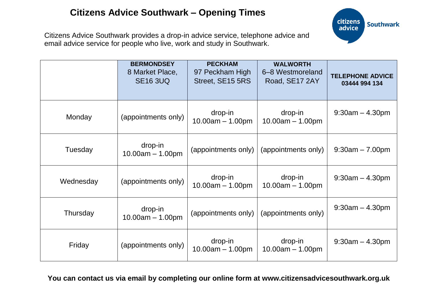# **Citizens Advice Southwark – Opening Times**



Citizens Advice Southwark provides a drop-in advice service, telephone advice and email advice service for people who live, work and study in Southwark.

|           | <b>BERMONDSEY</b><br>8 Market Place,<br><b>SE16 3UQ</b> | <b>PECKHAM</b><br>97 Peckham High<br>Street, SE15 5RS | <b>WALWORTH</b><br>6-8 Westmoreland<br>Road, SE17 2AY | <b>TELEPHONE ADVICE</b><br>03444 994 134 |
|-----------|---------------------------------------------------------|-------------------------------------------------------|-------------------------------------------------------|------------------------------------------|
| Monday    | (appointments only)                                     | drop-in<br>$10.00am - 1.00pm$                         | drop-in<br>$10.00am - 1.00pm$                         | $9:30am - 4.30pm$                        |
| Tuesday   | drop-in<br>$10.00am - 1.00pm$                           | (appointments only)                                   | (appointments only)                                   | $9:30am - 7.00pm$                        |
| Wednesday | (appointments only)                                     | drop-in<br>$10.00am - 1.00pm$                         | drop-in<br>$10.00am - 1.00pm$                         | $9:30am - 4.30pm$                        |
| Thursday  | drop-in<br>$10.00am - 1.00pm$                           | (appointments only)                                   | (appointments only)                                   | $9:30am - 4.30pm$                        |
| Friday    | (appointments only)                                     | drop-in<br>$10.00am - 1.00pm$                         | drop-in<br>$10.00am - 1.00pm$                         | $9:30am - 4.30pm$                        |

**You can contact us via email by completing our online form at [www.citizensadvicesouthwark.org.uk](http://www.citizensadvicesouthwark.org.uk/)**